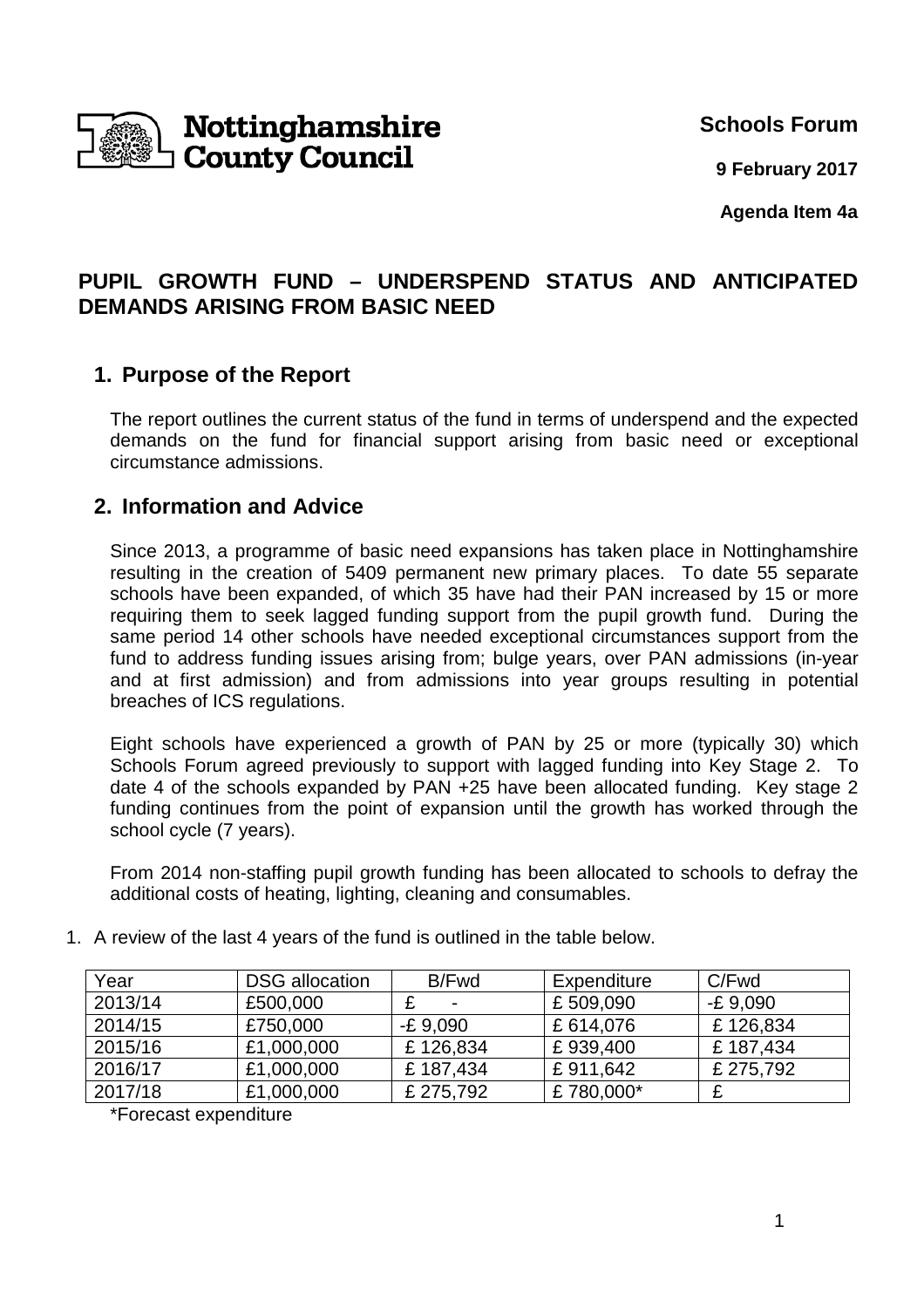

**Schools Forum**

**9 February 2017**

**Agenda Item 4a**

## **PUPIL GROWTH FUND – UNDERSPEND STATUS AND ANTICIPATED DEMANDS ARISING FROM BASIC NEED**

## **1. Purpose of the Report**

The report outlines the current status of the fund in terms of underspend and the expected demands on the fund for financial support arising from basic need or exceptional circumstance admissions.

## **2. Information and Advice**

Since 2013, a programme of basic need expansions has taken place in Nottinghamshire resulting in the creation of 5409 permanent new primary places. To date 55 separate schools have been expanded, of which 35 have had their PAN increased by 15 or more requiring them to seek lagged funding support from the pupil growth fund. During the same period 14 other schools have needed exceptional circumstances support from the fund to address funding issues arising from; bulge years, over PAN admissions (in-year and at first admission) and from admissions into year groups resulting in potential breaches of ICS regulations.

Eight schools have experienced a growth of PAN by 25 or more (typically 30) which Schools Forum agreed previously to support with lagged funding into Key Stage 2. To date 4 of the schools expanded by PAN +25 have been allocated funding. Key stage 2 funding continues from the point of expansion until the growth has worked through the school cycle (7 years).

From 2014 non-staffing pupil growth funding has been allocated to schools to defray the additional costs of heating, lighting, cleaning and consumables.

| Year    | <b>DSG</b> allocation | B/Fwd          | Expenditure | C/Fwd      |
|---------|-----------------------|----------------|-------------|------------|
| 2013/14 | £500,000              | $\blacksquare$ | £509,090    | $-E$ 9.090 |
| 2014/15 | £750,000              | $-E9,090$      | £614,076    | £126,834   |
| 2015/16 | £1,000,000            | £126,834       | £939,400    | £187,434   |
| 2016/17 | £1,000,000            | £187,434       | £911,642    | £ 275,792  |
| 2017/18 | £1,000,000            | £ 275,792      | £780,000*   |            |

1. A review of the last 4 years of the fund is outlined in the table below.

\*Forecast expenditure